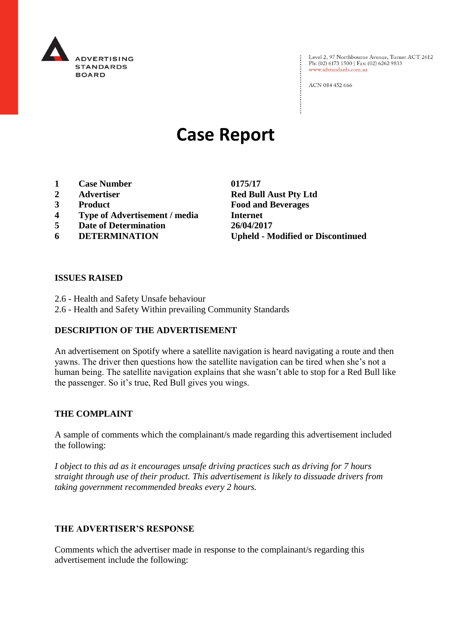

Level 2, 97 Northbourne Avenue, Turner ACT 2612 Ph: (02) 6173 1500 | Fax: (02) 6262 9833 www.adstandards.com.au

ACN 084 452 666

# **Case Report**

- **1 Case Number 0175/17**
- 
- 
- **4 Type of Advertisement / media Internet**
- **5 Date of Determination 26/04/2017**
- 

**2 Advertiser Red Bull Aust Pty Ltd 3 Product Food and Beverages 6 DETERMINATION Upheld - Modified or Discontinued**

 $\vdots$ 

#### **ISSUES RAISED**

- 2.6 Health and Safety Unsafe behaviour
- 2.6 Health and Safety Within prevailing Community Standards

## **DESCRIPTION OF THE ADVERTISEMENT**

An advertisement on Spotify where a satellite navigation is heard navigating a route and then yawns. The driver then questions how the satellite navigation can be tired when she's not a human being. The satellite navigation explains that she wasn't able to stop for a Red Bull like the passenger. So it's true, Red Bull gives you wings.

#### **THE COMPLAINT**

A sample of comments which the complainant/s made regarding this advertisement included the following:

*I object to this ad as it encourages unsafe driving practices such as driving for 7 hours straight through use of their product. This advertisement is likely to dissuade drivers from taking government recommended breaks every 2 hours.*

#### **THE ADVERTISER'S RESPONSE**

Comments which the advertiser made in response to the complainant/s regarding this advertisement include the following: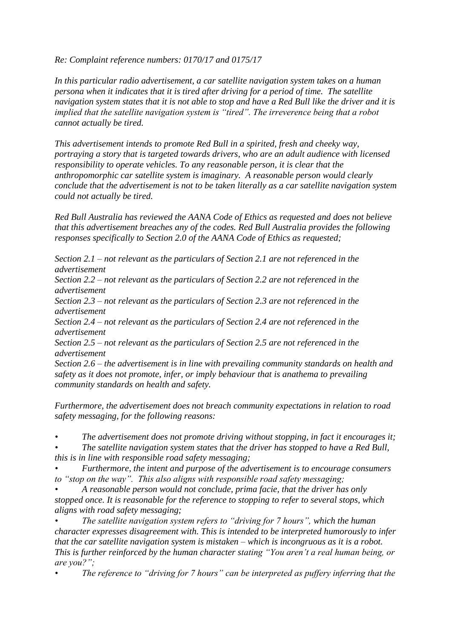*Re: Complaint reference numbers: 0170/17 and 0175/17*

*In this particular radio advertisement, a car satellite navigation system takes on a human persona when it indicates that it is tired after driving for a period of time. The satellite navigation system states that it is not able to stop and have a Red Bull like the driver and it is implied that the satellite navigation system is "tired". The irreverence being that a robot cannot actually be tired.*

*This advertisement intends to promote Red Bull in a spirited, fresh and cheeky way, portraying a story that is targeted towards drivers, who are an adult audience with licensed responsibility to operate vehicles. To any reasonable person, it is clear that the anthropomorphic car satellite system is imaginary. A reasonable person would clearly conclude that the advertisement is not to be taken literally as a car satellite navigation system could not actually be tired.*

*Red Bull Australia has reviewed the AANA Code of Ethics as requested and does not believe that this advertisement breaches any of the codes. Red Bull Australia provides the following responses specifically to Section 2.0 of the AANA Code of Ethics as requested;*

*Section 2.1 – not relevant as the particulars of Section 2.1 are not referenced in the advertisement*

*Section 2.2 – not relevant as the particulars of Section 2.2 are not referenced in the advertisement*

*Section 2.3 – not relevant as the particulars of Section 2.3 are not referenced in the advertisement*

*Section 2.4 – not relevant as the particulars of Section 2.4 are not referenced in the advertisement*

*Section 2.5 – not relevant as the particulars of Section 2.5 are not referenced in the advertisement*

*Section 2.6 – the advertisement is in line with prevailing community standards on health and safety as it does not promote, infer, or imply behaviour that is anathema to prevailing community standards on health and safety.*

*Furthermore, the advertisement does not breach community expectations in relation to road safety messaging, for the following reasons:*

*• The advertisement does not promote driving without stopping, in fact it encourages it;*

*• The satellite navigation system states that the driver has stopped to have a Red Bull, this is in line with responsible road safety messaging;*

*• Furthermore, the intent and purpose of the advertisement is to encourage consumers to "stop on the way". This also aligns with responsible road safety messaging;*

*• A reasonable person would not conclude, prima facie, that the driver has only stopped once. It is reasonable for the reference to stopping to refer to several stops, which aligns with road safety messaging;*

*• The satellite navigation system refers to "driving for 7 hours", which the human character expresses disagreement with. This is intended to be interpreted humorously to infer that the car satellite navigation system is mistaken – which is incongruous as it is a robot. This is further reinforced by the human character stating "You aren't a real human being, or are you?";*

*• The reference to "driving for 7 hours" can be interpreted as puffery inferring that the*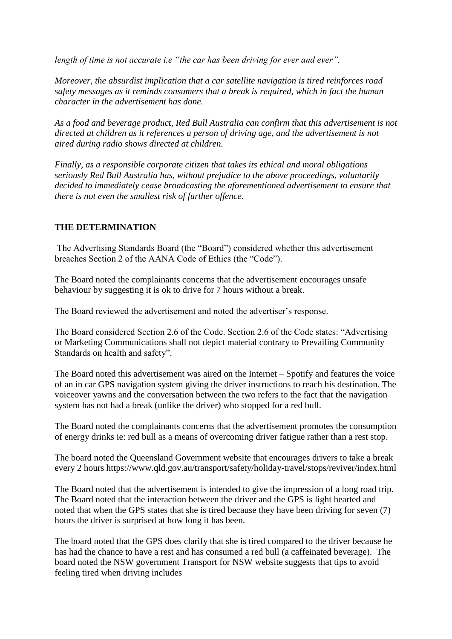*length of time is not accurate i.e "the car has been driving for ever and ever".*

*Moreover, the absurdist implication that a car satellite navigation is tired reinforces road safety messages as it reminds consumers that a break is required, which in fact the human character in the advertisement has done.*

*As a food and beverage product, Red Bull Australia can confirm that this advertisement is not directed at children as it references a person of driving age, and the advertisement is not aired during radio shows directed at children.*

*Finally, as a responsible corporate citizen that takes its ethical and moral obligations seriously Red Bull Australia has, without prejudice to the above proceedings, voluntarily decided to immediately cease broadcasting the aforementioned advertisement to ensure that there is not even the smallest risk of further offence.*

## **THE DETERMINATION**

The Advertising Standards Board (the "Board") considered whether this advertisement breaches Section 2 of the AANA Code of Ethics (the "Code").

The Board noted the complainants concerns that the advertisement encourages unsafe behaviour by suggesting it is ok to drive for 7 hours without a break.

The Board reviewed the advertisement and noted the advertiser's response.

The Board considered Section 2.6 of the Code. Section 2.6 of the Code states: "Advertising or Marketing Communications shall not depict material contrary to Prevailing Community Standards on health and safety".

The Board noted this advertisement was aired on the Internet – Spotify and features the voice of an in car GPS navigation system giving the driver instructions to reach his destination. The voiceover yawns and the conversation between the two refers to the fact that the navigation system has not had a break (unlike the driver) who stopped for a red bull.

The Board noted the complainants concerns that the advertisement promotes the consumption of energy drinks ie: red bull as a means of overcoming driver fatigue rather than a rest stop.

The board noted the Queensland Government website that encourages drivers to take a break every 2 hours https://www.qld.gov.au/transport/safety/holiday-travel/stops/reviver/index.html

The Board noted that the advertisement is intended to give the impression of a long road trip. The Board noted that the interaction between the driver and the GPS is light hearted and noted that when the GPS states that she is tired because they have been driving for seven (7) hours the driver is surprised at how long it has been.

The board noted that the GPS does clarify that she is tired compared to the driver because he has had the chance to have a rest and has consumed a red bull (a caffeinated beverage). The board noted the NSW government Transport for NSW website suggests that tips to avoid feeling tired when driving includes